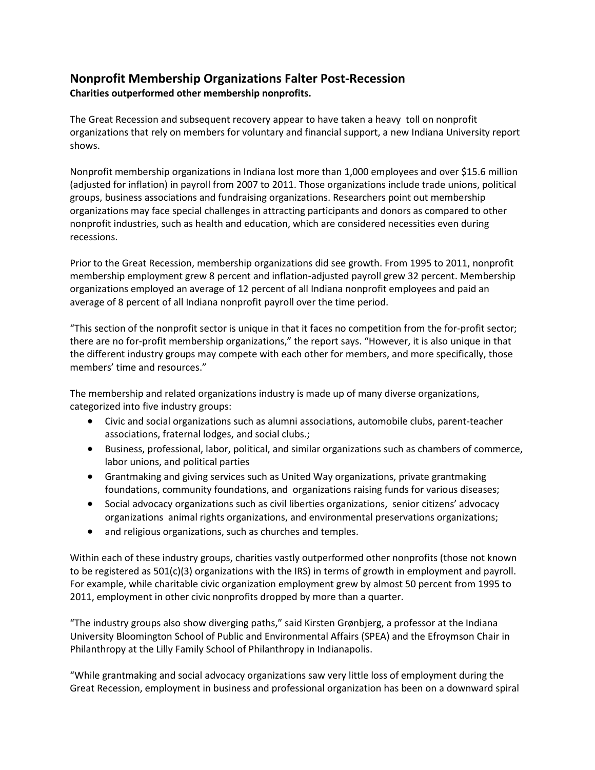# **Nonprofit Membership Organizations Falter Post-Recession Charities outperformed other membership nonprofits.**

The Great Recession and subsequent recovery appear to have taken a heavy toll on nonprofit organizations that rely on members for voluntary and financial support, a new Indiana University report shows.

Nonprofit membership organizations in Indiana lost more than 1,000 employees and over \$15.6 million (adjusted for inflation) in payroll from 2007 to 2011. Those organizations include trade unions, political groups, business associations and fundraising organizations. Researchers point out membership organizations may face special challenges in attracting participants and donors as compared to other nonprofit industries, such as health and education, which are considered necessities even during recessions.

Prior to the Great Recession, membership organizations did see growth. From 1995 to 2011, nonprofit membership employment grew 8 percent and inflation-adjusted payroll grew 32 percent. Membership organizations employed an average of 12 percent of all Indiana nonprofit employees and paid an average of 8 percent of all Indiana nonprofit payroll over the time period.

"This section of the nonprofit sector is unique in that it faces no competition from the for-profit sector; there are no for-profit membership organizations," the report says. "However, it is also unique in that the different industry groups may compete with each other for members, and more specifically, those members' time and resources."

The membership and related organizations industry is made up of many diverse organizations, categorized into five industry groups:

- Civic and social organizations such as alumni associations, automobile clubs, parent-teacher associations, fraternal lodges, and social clubs.;
- Business, professional, labor, political, and similar organizations such as chambers of commerce, labor unions, and political parties
- Grantmaking and giving services such as United Way organizations, private grantmaking foundations, community foundations, and organizations raising funds for various diseases;
- Social advocacy organizations such as civil liberties organizations, senior citizens' advocacy organizations animal rights organizations, and environmental preservations organizations;
- and religious organizations, such as churches and temples.

Within each of these industry groups, charities vastly outperformed other nonprofits (those not known to be registered as 501(c)(3) organizations with the IRS) in terms of growth in employment and payroll. For example, while charitable civic organization employment grew by almost 50 percent from 1995 to 2011, employment in other civic nonprofits dropped by more than a quarter.

"The industry groups also show diverging paths," said Kirsten Grønbjerg, a professor at the Indiana University Bloomington School of Public and Environmental Affairs (SPEA) and the Efroymson Chair in Philanthropy at the Lilly Family School of Philanthropy in Indianapolis.

"While grantmaking and social advocacy organizations saw very little loss of employment during the Great Recession, employment in business and professional organization has been on a downward spiral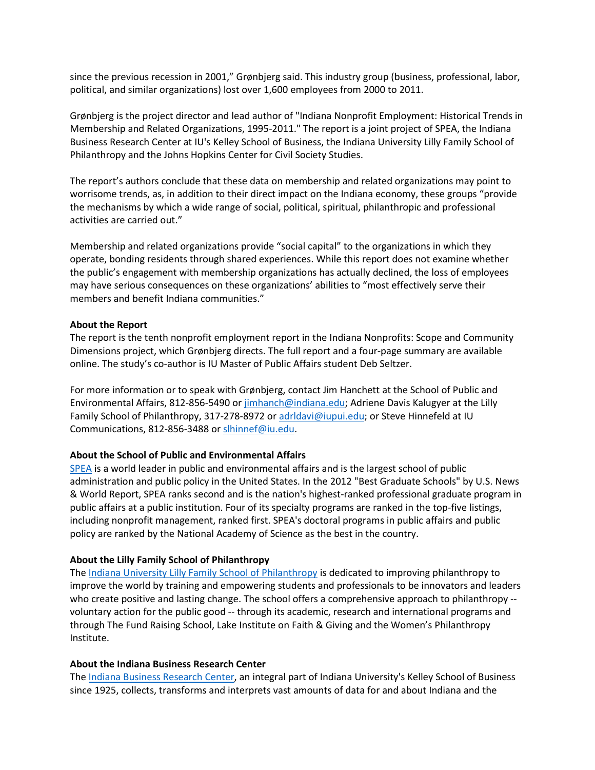since the previous recession in 2001," Grønbjerg said. This industry group (business, professional, labor, political, and similar organizations) lost over 1,600 employees from 2000 to 2011.

Grønbjerg is the project director and lead author of "Indiana Nonprofit Employment: Historical Trends in Membership and Related Organizations, 1995-2011." The report is a joint project of SPEA, the Indiana Business Research Center at IU's Kelley School of Business, the Indiana University Lilly Family School of Philanthropy and the Johns Hopkins Center for Civil Society Studies.

The report's authors conclude that these data on membership and related organizations may point to worrisome trends, as, in addition to their direct impact on the Indiana economy, these groups "provide the mechanisms by which a wide range of social, political, spiritual, philanthropic and professional activities are carried out."

Membership and related organizations provide "social capital" to the organizations in which they operate, bonding residents through shared experiences. While this report does not examine whether the public's engagement with membership organizations has actually declined, the loss of employees may have serious consequences on these organizations' abilities to "most effectively serve their members and benefit Indiana communities."

### **About the Report**

The report is the tenth nonprofit employment report in the Indiana Nonprofits: Scope and Community Dimensions project, which Grønbjerg directs. The full report and a four-page summary are available online. The study's co-author is IU Master of Public Affairs student Deb Seltzer.

For more information or to speak with Grønbjerg, contact Jim Hanchett at the School of Public and Environmental Affairs, 812-856-5490 or [jimhanch@indiana.edu;](mailto:jimhanch@indiana.edu) Adriene Davis Kalugyer at the Lilly Family School of Philanthropy, 317-278-8972 or [adrldavi@iupui.edu;](mailto:adrldavi@iupui.edu) or Steve Hinnefeld at IU Communications, 812-856-3488 or [slhinnef@iu.edu.](mailto:slhinnef@iu.edu)

# **About the School of Public and Environmental Affairs**

[SPEA](http://www.indiana.edu/%7Espea/) is a world leader in public and environmental affairs and is the largest school of public administration and public policy in the United States. In the 2012 "Best Graduate Schools" by U.S. News & World Report, SPEA ranks second and is the nation's highest-ranked professional graduate program in public affairs at a public institution. Four of its specialty programs are ranked in the top-five listings, including nonprofit management, ranked first. SPEA's doctoral programs in public affairs and public policy are ranked by the National Academy of Science as the best in the country.

# **About the Lilly Family School of Philanthropy**

The [Indiana University Lilly Family School of Philanthropy](http://www.philanthropy.iupui.edu/) is dedicated to improving philanthropy to improve the world by training and empowering students and professionals to be innovators and leaders who create positive and lasting change. The school offers a comprehensive approach to philanthropy -voluntary action for the public good -- through its academic, research and international programs and through The Fund Raising School, Lake Institute on Faith & Giving and the Women's Philanthropy Institute.

### **About the Indiana Business Research Center**

The [Indiana Business Research Center,](http://www.ibrc.indiana.edu/) an integral part of Indiana University's Kelley School of Business since 1925, collects, transforms and interprets vast amounts of data for and about Indiana and the